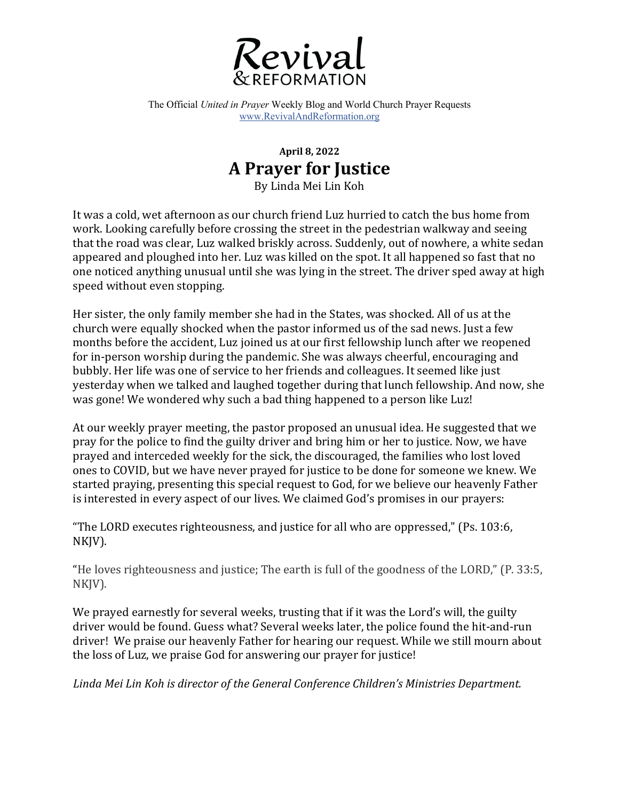

The Official *United in Prayer* Weekly Blog and World Church Prayer Requests www.RevivalAndReformation.org

## **April 8, 2022 A Prayer for Justice**

By Linda Mei Lin Koh

It was a cold, wet afternoon as our church friend Luz hurried to catch the bus home from work. Looking carefully before crossing the street in the pedestrian walkway and seeing that the road was clear, Luz walked briskly across. Suddenly, out of nowhere, a white sedan appeared and ploughed into her. Luz was killed on the spot. It all happened so fast that no one noticed anything unusual until she was lying in the street. The driver sped away at high speed without even stopping.

Her sister, the only family member she had in the States, was shocked. All of us at the church were equally shocked when the pastor informed us of the sad news. Just a few months before the accident, Luz joined us at our first fellowship lunch after we reopened for in-person worship during the pandemic. She was always cheerful, encouraging and bubbly. Her life was one of service to her friends and colleagues. It seemed like just yesterday when we talked and laughed together during that lunch fellowship. And now, she was gone! We wondered why such a bad thing happened to a person like Luz!

At our weekly prayer meeting, the pastor proposed an unusual idea. He suggested that we pray for the police to find the guilty driver and bring him or her to justice. Now, we have prayed and interceded weekly for the sick, the discouraged, the families who lost loved ones to COVID, but we have never prayed for justice to be done for someone we knew. We started praying, presenting this special request to God, for we believe our heavenly Father is interested in every aspect of our lives. We claimed God's promises in our prayers:

"The LORD executes righteousness, and justice for all who are oppressed," (Ps. 103:6, NKJV).

"He loves righteousness and justice; The earth is full of the goodness of the LORD," (P. 33:5, NKJV).

We prayed earnestly for several weeks, trusting that if it was the Lord's will, the guilty driver would be found. Guess what? Several weeks later, the police found the hit-and-run driver! We praise our heavenly Father for hearing our request. While we still mourn about the loss of Luz, we praise God for answering our prayer for justice!

Linda Mei Lin Koh is director of the General Conference Children's Ministries Department.